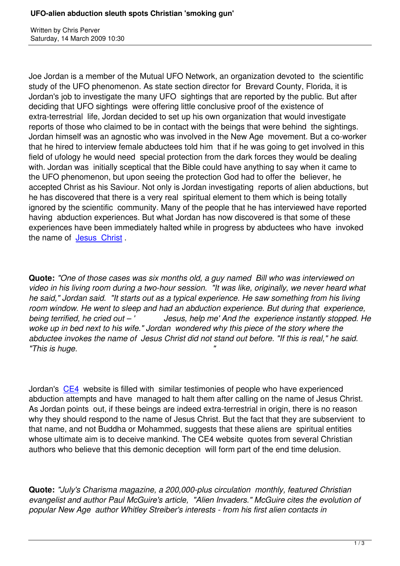Written by Christian by Christian by Christian by Christian by Christian by Christian by Chris Perus

Joe Jordan is a member of the Mutual UFO Network, an organization devoted to the scientific study of the UFO phenomenon. As state section director for Brevard County, Florida, it is Jordan's job to investigate the many UFO sightings that are reported by the public. But after deciding that UFO sightings were offering little conclusive proof of the existence of extra-terrestrial life, Jordan decided to set up his own organization that would investigate reports of those who claimed to be in contact with the beings that were behind the sightings. Jordan himself was an agnostic who was involved in the New Age movement. But a co-worker that he hired to interview female abductees told him that if he was going to get involved in this field of ufology he would need special protection from the dark forces they would be dealing with. Jordan was initially sceptical that the Bible could have anything to say when it came to the UFO phenomenon, but upon seeing the protection God had to offer the believer, he accepted Christ as his Saviour. Not only is Jordan investigating reports of alien abductions, but he has discovered that there is a very real spiritual element to them which is being totally ignored by the scientific community. Many of the people that he has interviewed have reported having abduction experiences. But what Jordan has now discovered is that some of these experiences have been immediately halted while in progress by abductees who have invoked the name of Jesus Christ.

**Quote:** *"One [of those case](http://www.examiner.com/x-2363-UFO-Examiner%7Ey2009m3d12-UFOalien-abduction-sleuth-spots-Christian-smoking-gun)s was six months old, a guy named Bill who was interviewed on video in his living room during a two-hour session. "It was like, originally, we never heard what he said," Jordan said. "It starts out as a typical experience. He saw something from his living room window. He went to sleep and had an abduction experience. But during that experience, being terrified, he cried out – ' Jesus, help me' And the experience instantly stopped. He woke up in bed next to his wife." Jordan wondered why this piece of the story where the abductee invokes the name of Jesus Christ did not stand out before. "If this is real," he said. "This is huge. "*

Jordan's CE4 website is filled with similar testimonies of people who have experienced abduction attempts and have managed to halt them after calling on the name of Jesus Christ. As Jordan points out, if these beings are indeed extra-terrestrial in origin, there is no reason why they [shou](http://www.ce4research.com/)ld respond to the name of Jesus Christ. But the fact that they are subservient to that name, and not Buddha or Mohammed, suggests that these aliens are spiritual entities whose ultimate aim is to deceive mankind. The CE4 website quotes from several Christian authors who believe that this demonic deception will form part of the end time delusion.

**Quote:** *"July's Charisma magazine, a 200,000-plus circulation monthly, featured Christian evangelist and author Paul McGuire's article, "Alien Invaders." McGuire cites the evolution of popular New Age author Whitley Streiber's interests - from his first alien contacts in*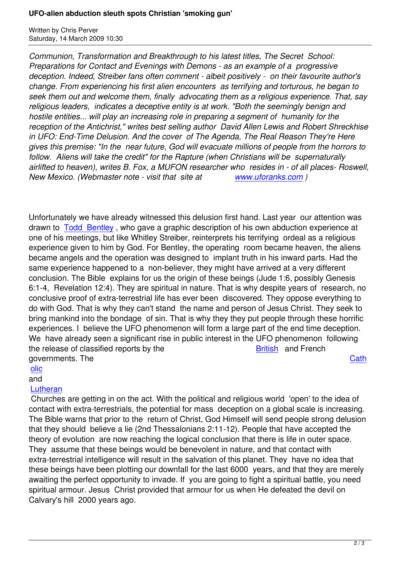*Communion, Transformation and Breakthrough to his latest titles, The Secret School: Preparations for Contact and Evenings with Demons - as an example of a progressive deception. Indeed, Streiber fans often comment - albeit positively - on their favourite author's change. From experiencing his first alien encounters as terrifying and torturous, he began to seek them out and welcome them, finally advocating them as a religious experience. That, say religious leaders, indicates a deceptive entity is at work. "Both the seemingly benign and hostile entities... will play an increasing role in preparing a segment of humanity for the reception of the Antichrist," writes best selling author David Allen Lewis and Robert Shreckhise in UFO: End-Time Delusion. And the cover of The Agenda, The Real Reason They're Here gives this premise: "In the near future, God will evacuate millions of people from the horrors to follow. Aliens will take the credit" for the Rapture (when Christians will be supernaturally airlifted to heaven), writes B. Fox, a MUFON researcher who resides in - of all places- Roswell, New Mexico. (Webmaster note - visit that site at www.uforanks.com )*

Unfortunately we have already witnessed this delusion fir[st hand. Last year o](http://www.uforanks.com/)ur attention was drawn to Todd Bentley , who gave a graphic description of his own abduction experience at one of his meetings, but like Whitley Streiber, reinterprets his terrifying ordeal as a religious experience given to him by God. For Bentley, the operating room became heaven, the aliens became [angels and the](https://www.prophecynews.co.uk/index.php?option=com_content&id=879/2/) operation was designed to implant truth in his inward parts. Had the same experience happened to a non-believer, they might have arrived at a very different conclusion. The Bible explains for us the origin of these beings (Jude 1:6, possibly Genesis 6:1-4, Revelation 12:4). They are spiritual in nature. That is why despite years of research, no conclusive proof of extra-terrestrial life has ever been discovered. They oppose everything to do with God. That is why they can't stand the name and person of Jesus Christ. They seek to bring mankind into the bondage of sin. That is why they they put people through these horrific experiences. I believe the UFO phenomenon will form a large part of the end time deception. We have already seen a significant rise in public interest in the UFO phenomenon following the release of classified reports by the British and French governments. The Cath

# olic

### and

## **Lutheran**

 [Chu](https://www.prophecynews.co.uk/index.php?option=com_content&id=859/2/)rches are getting in on the act. With the political and religious world 'open' to the idea [of](https://www.prophecynews.co.uk/index.php?option=com_content&id=859/2/) contact with extra-terrestrials, the potential for mass deception on a global scale is increasing. [The Bible](https://www.prophecynews.co.uk/index.php?option=com_content&id=1121/2/) warns that prior to the return of Christ, God Himself will send people strong delusion that they should believe a lie (2nd Thessalonians 2:11-12). People that have accepted the theory of evolution are now reaching the logical conclusion that there is life in outer space. They assume that these beings would be benevolent in nature, and that contact with extra-terrestrial intelligence will result in the salvation of this planet. They have no idea that these beings have been plotting our downfall for the last 6000 years, and that they are merely awaiting the perfect opportunity to invade. If you are going to fight a spiritual battle, you need spiritual armour. Jesus Christ provided that armour for us when He defeated the devil on Calvary's hill 2000 years ago.